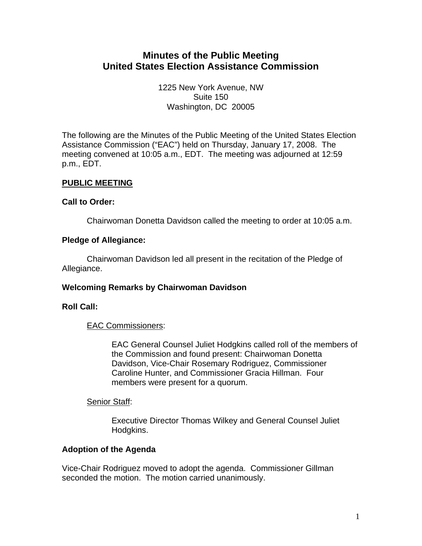# **Minutes of the Public Meeting United States Election Assistance Commission**

1225 New York Avenue, NW Suite 150 Washington, DC 20005

The following are the Minutes of the Public Meeting of the United States Election Assistance Commission ("EAC") held on Thursday, January 17, 2008. The meeting convened at 10:05 a.m., EDT. The meeting was adjourned at 12:59 p.m., EDT.

### **PUBLIC MEETING**

## **Call to Order:**

Chairwoman Donetta Davidson called the meeting to order at 10:05 a.m.

## **Pledge of Allegiance:**

Chairwoman Davidson led all present in the recitation of the Pledge of Allegiance.

# **Welcoming Remarks by Chairwoman Davidson**

# **Roll Call:**

# EAC Commissioners:

EAC General Counsel Juliet Hodgkins called roll of the members of the Commission and found present: Chairwoman Donetta Davidson, Vice-Chair Rosemary Rodriguez, Commissioner Caroline Hunter, and Commissioner Gracia Hillman. Four members were present for a quorum.

### Senior Staff:

Executive Director Thomas Wilkey and General Counsel Juliet Hodgkins.

# **Adoption of the Agenda**

Vice-Chair Rodriguez moved to adopt the agenda. Commissioner Gillman seconded the motion. The motion carried unanimously.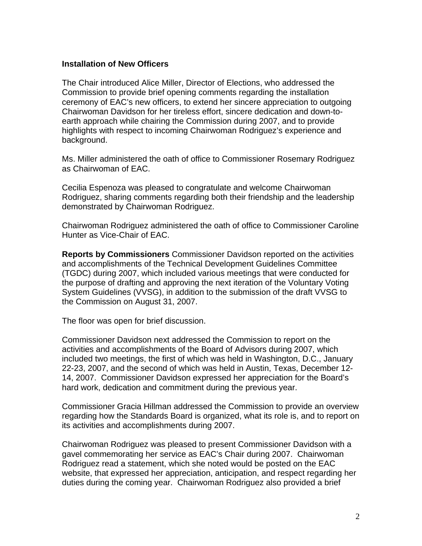#### **Installation of New Officers**

The Chair introduced Alice Miller, Director of Elections, who addressed the Commission to provide brief opening comments regarding the installation ceremony of EAC's new officers, to extend her sincere appreciation to outgoing Chairwoman Davidson for her tireless effort, sincere dedication and down-toearth approach while chairing the Commission during 2007, and to provide highlights with respect to incoming Chairwoman Rodriguez's experience and background.

Ms. Miller administered the oath of office to Commissioner Rosemary Rodriguez as Chairwoman of EAC.

Cecilia Espenoza was pleased to congratulate and welcome Chairwoman Rodriguez, sharing comments regarding both their friendship and the leadership demonstrated by Chairwoman Rodriguez.

Chairwoman Rodriguez administered the oath of office to Commissioner Caroline Hunter as Vice-Chair of EAC.

**Reports by Commissioners** Commissioner Davidson reported on the activities and accomplishments of the Technical Development Guidelines Committee (TGDC) during 2007, which included various meetings that were conducted for the purpose of drafting and approving the next iteration of the Voluntary Voting System Guidelines (VVSG), in addition to the submission of the draft VVSG to the Commission on August 31, 2007.

The floor was open for brief discussion.

Commissioner Davidson next addressed the Commission to report on the activities and accomplishments of the Board of Advisors during 2007, which included two meetings, the first of which was held in Washington, D.C., January 22-23, 2007, and the second of which was held in Austin, Texas, December 12- 14, 2007. Commissioner Davidson expressed her appreciation for the Board's hard work, dedication and commitment during the previous year.

Commissioner Gracia Hillman addressed the Commission to provide an overview regarding how the Standards Board is organized, what its role is, and to report on its activities and accomplishments during 2007.

Chairwoman Rodriguez was pleased to present Commissioner Davidson with a gavel commemorating her service as EAC's Chair during 2007. Chairwoman Rodriguez read a statement, which she noted would be posted on the EAC website, that expressed her appreciation, anticipation, and respect regarding her duties during the coming year. Chairwoman Rodriguez also provided a brief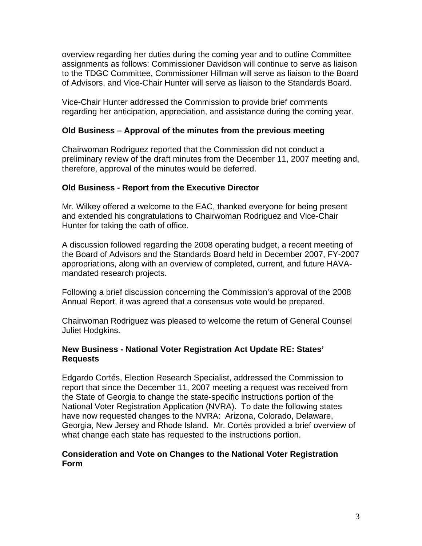overview regarding her duties during the coming year and to outline Committee assignments as follows: Commissioner Davidson will continue to serve as liaison to the TDGC Committee, Commissioner Hillman will serve as liaison to the Board of Advisors, and Vice-Chair Hunter will serve as liaison to the Standards Board.

Vice-Chair Hunter addressed the Commission to provide brief comments regarding her anticipation, appreciation, and assistance during the coming year.

## **Old Business – Approval of the minutes from the previous meeting**

Chairwoman Rodriguez reported that the Commission did not conduct a preliminary review of the draft minutes from the December 11, 2007 meeting and, therefore, approval of the minutes would be deferred.

## **Old Business - Report from the Executive Director**

Mr. Wilkey offered a welcome to the EAC, thanked everyone for being present and extended his congratulations to Chairwoman Rodriguez and Vice-Chair Hunter for taking the oath of office.

A discussion followed regarding the 2008 operating budget, a recent meeting of the Board of Advisors and the Standards Board held in December 2007, FY-2007 appropriations, along with an overview of completed, current, and future HAVAmandated research projects.

Following a brief discussion concerning the Commission's approval of the 2008 Annual Report, it was agreed that a consensus vote would be prepared.

Chairwoman Rodriguez was pleased to welcome the return of General Counsel Juliet Hodgkins.

### **New Business - National Voter Registration Act Update RE: States' Requests**

Edgardo Cortés, Election Research Specialist, addressed the Commission to report that since the December 11, 2007 meeting a request was received from the State of Georgia to change the state-specific instructions portion of the National Voter Registration Application (NVRA). To date the following states have now requested changes to the NVRA: Arizona, Colorado, Delaware, Georgia, New Jersey and Rhode Island. Mr. Cortés provided a brief overview of what change each state has requested to the instructions portion.

### **Consideration and Vote on Changes to the National Voter Registration Form**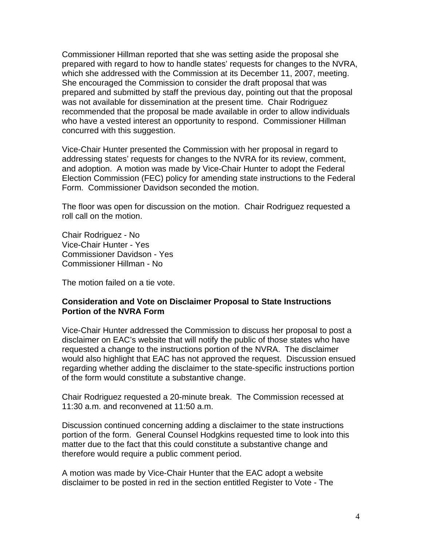Commissioner Hillman reported that she was setting aside the proposal she prepared with regard to how to handle states' requests for changes to the NVRA, which she addressed with the Commission at its December 11, 2007, meeting. She encouraged the Commission to consider the draft proposal that was prepared and submitted by staff the previous day, pointing out that the proposal was not available for dissemination at the present time. Chair Rodriguez recommended that the proposal be made available in order to allow individuals who have a vested interest an opportunity to respond. Commissioner Hillman concurred with this suggestion.

Vice-Chair Hunter presented the Commission with her proposal in regard to addressing states' requests for changes to the NVRA for its review, comment, and adoption. A motion was made by Vice-Chair Hunter to adopt the Federal Election Commission (FEC) policy for amending state instructions to the Federal Form. Commissioner Davidson seconded the motion.

The floor was open for discussion on the motion. Chair Rodriguez requested a roll call on the motion.

Chair Rodriguez - No Vice-Chair Hunter - Yes Commissioner Davidson - Yes Commissioner Hillman - No

The motion failed on a tie vote.

### **Consideration and Vote on Disclaimer Proposal to State Instructions Portion of the NVRA Form**

Vice-Chair Hunter addressed the Commission to discuss her proposal to post a disclaimer on EAC's website that will notify the public of those states who have requested a change to the instructions portion of the NVRA. The disclaimer would also highlight that EAC has not approved the request. Discussion ensued regarding whether adding the disclaimer to the state-specific instructions portion of the form would constitute a substantive change.

Chair Rodriguez requested a 20-minute break. The Commission recessed at 11:30 a.m. and reconvened at 11:50 a.m.

Discussion continued concerning adding a disclaimer to the state instructions portion of the form. General Counsel Hodgkins requested time to look into this matter due to the fact that this could constitute a substantive change and therefore would require a public comment period.

A motion was made by Vice-Chair Hunter that the EAC adopt a website disclaimer to be posted in red in the section entitled Register to Vote - The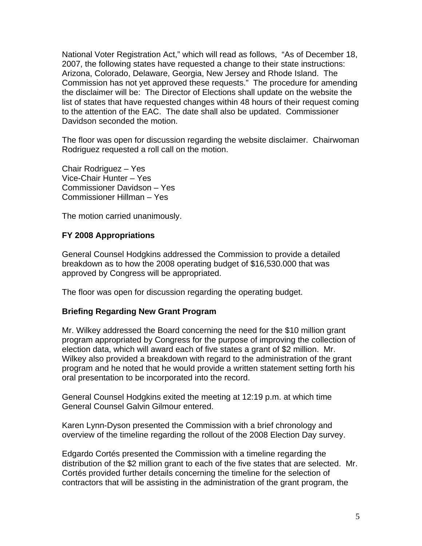National Voter Registration Act," which will read as follows, "As of December 18, 2007, the following states have requested a change to their state instructions: Arizona, Colorado, Delaware, Georgia, New Jersey and Rhode Island. The Commission has not yet approved these requests." The procedure for amending the disclaimer will be: The Director of Elections shall update on the website the list of states that have requested changes within 48 hours of their request coming to the attention of the EAC. The date shall also be updated. Commissioner Davidson seconded the motion.

The floor was open for discussion regarding the website disclaimer. Chairwoman Rodriguez requested a roll call on the motion.

Chair Rodriguez – Yes Vice-Chair Hunter – Yes Commissioner Davidson – Yes Commissioner Hillman – Yes

The motion carried unanimously.

## **FY 2008 Appropriations**

General Counsel Hodgkins addressed the Commission to provide a detailed breakdown as to how the 2008 operating budget of \$16,530.000 that was approved by Congress will be appropriated.

The floor was open for discussion regarding the operating budget.

### **Briefing Regarding New Grant Program**

Mr. Wilkey addressed the Board concerning the need for the \$10 million grant program appropriated by Congress for the purpose of improving the collection of election data, which will award each of five states a grant of \$2 million. Mr. Wilkey also provided a breakdown with regard to the administration of the grant program and he noted that he would provide a written statement setting forth his oral presentation to be incorporated into the record.

General Counsel Hodgkins exited the meeting at 12:19 p.m. at which time General Counsel Galvin Gilmour entered.

Karen Lynn-Dyson presented the Commission with a brief chronology and overview of the timeline regarding the rollout of the 2008 Election Day survey.

Edgardo Cortés presented the Commission with a timeline regarding the distribution of the \$2 million grant to each of the five states that are selected. Mr. Cortés provided further details concerning the timeline for the selection of contractors that will be assisting in the administration of the grant program, the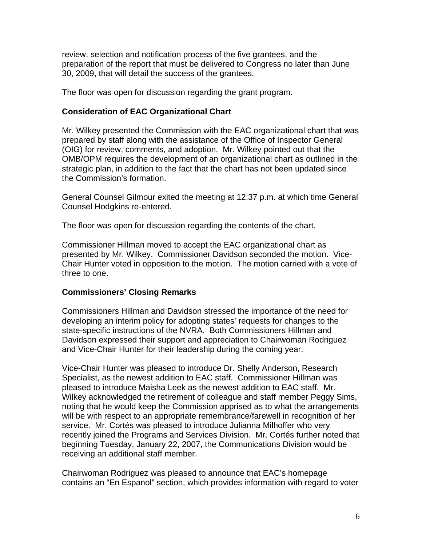review, selection and notification process of the five grantees, and the preparation of the report that must be delivered to Congress no later than June 30, 2009, that will detail the success of the grantees.

The floor was open for discussion regarding the grant program.

## **Consideration of EAC Organizational Chart**

Mr. Wilkey presented the Commission with the EAC organizational chart that was prepared by staff along with the assistance of the Office of Inspector General (OIG) for review, comments, and adoption. Mr. Wilkey pointed out that the OMB/OPM requires the development of an organizational chart as outlined in the strategic plan, in addition to the fact that the chart has not been updated since the Commission's formation.

General Counsel Gilmour exited the meeting at 12:37 p.m. at which time General Counsel Hodgkins re-entered.

The floor was open for discussion regarding the contents of the chart.

Commissioner Hillman moved to accept the EAC organizational chart as presented by Mr. Wilkey. Commissioner Davidson seconded the motion. Vice-Chair Hunter voted in opposition to the motion. The motion carried with a vote of three to one.

# **Commissioners' Closing Remarks**

Commissioners Hillman and Davidson stressed the importance of the need for developing an interim policy for adopting states' requests for changes to the state-specific instructions of the NVRA. Both Commissioners Hillman and Davidson expressed their support and appreciation to Chairwoman Rodriguez and Vice-Chair Hunter for their leadership during the coming year.

Vice-Chair Hunter was pleased to introduce Dr. Shelly Anderson, Research Specialist, as the newest addition to EAC staff. Commissioner Hillman was pleased to introduce Maisha Leek as the newest addition to EAC staff. Mr. Wilkey acknowledged the retirement of colleague and staff member Peggy Sims, noting that he would keep the Commission apprised as to what the arrangements will be with respect to an appropriate remembrance/farewell in recognition of her service. Mr. Cortés was pleased to introduce Julianna Milhoffer who very recently joined the Programs and Services Division. Mr. Cortés further noted that beginning Tuesday, January 22, 2007, the Communications Division would be receiving an additional staff member.

Chairwoman Rodriguez was pleased to announce that EAC's homepage contains an "En Espanol" section, which provides information with regard to voter